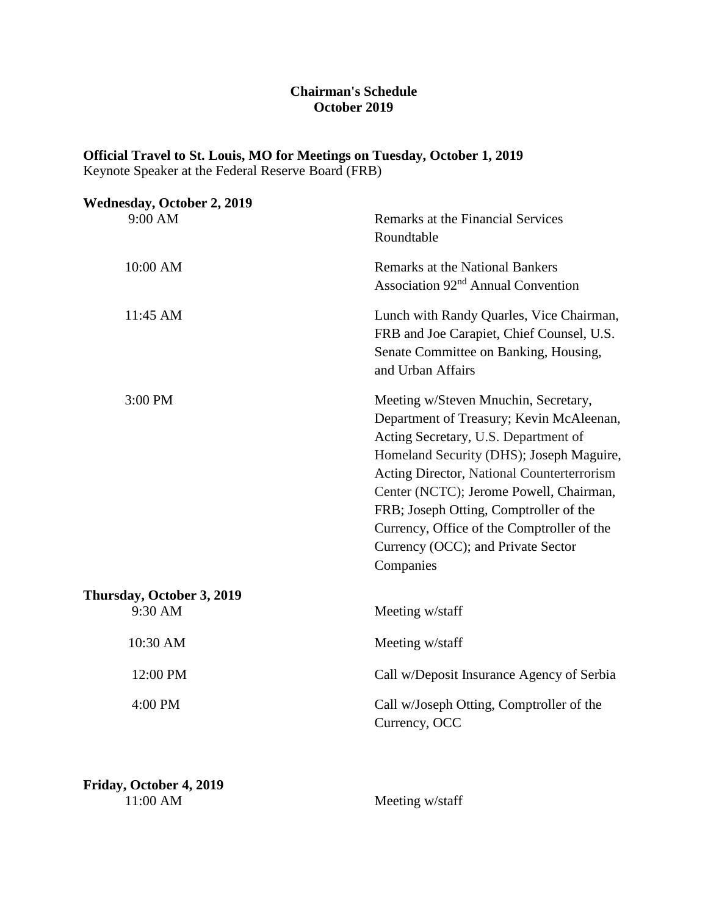#### **Chairman's Schedule October 2019**

## **Official Travel to St. Louis, MO for Meetings on Tuesday, October 1, 2019**

Keynote Speaker at the Federal Reserve Board (FRB)

| <b>Wednesday, October 2, 2019</b>    |                                                                                                                                                                                                                                                                                                                                                                                                          |
|--------------------------------------|----------------------------------------------------------------------------------------------------------------------------------------------------------------------------------------------------------------------------------------------------------------------------------------------------------------------------------------------------------------------------------------------------------|
| 9:00 AM                              | Remarks at the Financial Services<br>Roundtable                                                                                                                                                                                                                                                                                                                                                          |
| 10:00 AM                             | <b>Remarks at the National Bankers</b><br>Association 92 <sup>nd</sup> Annual Convention                                                                                                                                                                                                                                                                                                                 |
| 11:45 AM                             | Lunch with Randy Quarles, Vice Chairman,<br>FRB and Joe Carapiet, Chief Counsel, U.S.<br>Senate Committee on Banking, Housing,<br>and Urban Affairs                                                                                                                                                                                                                                                      |
| 3:00 PM                              | Meeting w/Steven Mnuchin, Secretary,<br>Department of Treasury; Kevin McAleenan,<br>Acting Secretary, U.S. Department of<br>Homeland Security (DHS); Joseph Maguire,<br>Acting Director, National Counterterrorism<br>Center (NCTC); Jerome Powell, Chairman,<br>FRB; Joseph Otting, Comptroller of the<br>Currency, Office of the Comptroller of the<br>Currency (OCC); and Private Sector<br>Companies |
| Thursday, October 3, 2019<br>9:30 AM | Meeting w/staff                                                                                                                                                                                                                                                                                                                                                                                          |
|                                      |                                                                                                                                                                                                                                                                                                                                                                                                          |
| 10:30 AM                             | Meeting w/staff                                                                                                                                                                                                                                                                                                                                                                                          |
| 12:00 PM                             | Call w/Deposit Insurance Agency of Serbia                                                                                                                                                                                                                                                                                                                                                                |
| 4:00 PM                              | Call w/Joseph Otting, Comptroller of the<br>Currency, OCC                                                                                                                                                                                                                                                                                                                                                |
|                                      |                                                                                                                                                                                                                                                                                                                                                                                                          |

**Friday, October 4, 2019**<br>11:00 AM

Meeting w/staff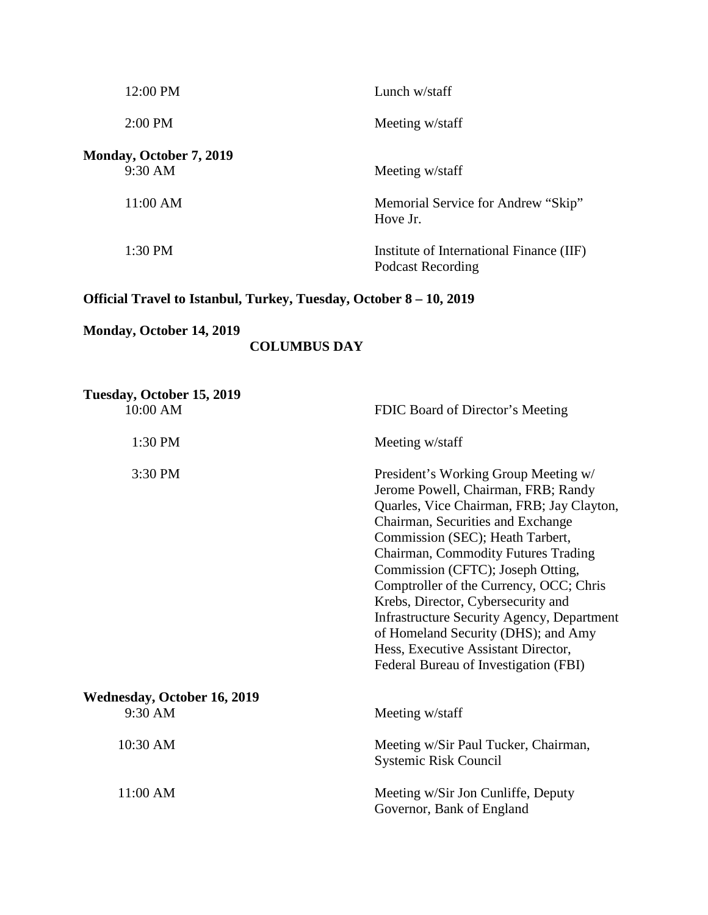| 12:00 PM                                  | Lunch w/staff                                                 |
|-------------------------------------------|---------------------------------------------------------------|
| $2:00$ PM                                 | Meeting w/staff                                               |
| <b>Monday, October 7, 2019</b><br>9:30 AM | Meeting w/staff                                               |
| $11:00$ AM                                | Memorial Service for Andrew "Skip"<br>Hove Jr.                |
| 1:30 PM                                   | Institute of International Finance (IIF)<br>Podcast Recording |

# **Official Travel to Istanbul, Turkey, Tuesday, October 8 – 10, 2019**

# **Monday, October 14, 2019**

## **COLUMBUS DAY**

| Tuesday, October 15, 2019<br>10:00 AM         | FDIC Board of Director's Meeting                                                                                                                                                                                                                                                                                                                                                                                                                                                                                                           |
|-----------------------------------------------|--------------------------------------------------------------------------------------------------------------------------------------------------------------------------------------------------------------------------------------------------------------------------------------------------------------------------------------------------------------------------------------------------------------------------------------------------------------------------------------------------------------------------------------------|
| 1:30 PM                                       | Meeting w/staff                                                                                                                                                                                                                                                                                                                                                                                                                                                                                                                            |
| 3:30 PM                                       | President's Working Group Meeting w/<br>Jerome Powell, Chairman, FRB; Randy<br>Quarles, Vice Chairman, FRB; Jay Clayton,<br>Chairman, Securities and Exchange<br>Commission (SEC); Heath Tarbert,<br>Chairman, Commodity Futures Trading<br>Commission (CFTC); Joseph Otting,<br>Comptroller of the Currency, OCC; Chris<br>Krebs, Director, Cybersecurity and<br><b>Infrastructure Security Agency, Department</b><br>of Homeland Security (DHS); and Amy<br>Hess, Executive Assistant Director,<br>Federal Bureau of Investigation (FBI) |
| <b>Wednesday, October 16, 2019</b><br>9:30 AM | Meeting w/staff                                                                                                                                                                                                                                                                                                                                                                                                                                                                                                                            |
| 10:30 AM                                      | Meeting w/Sir Paul Tucker, Chairman,<br><b>Systemic Risk Council</b>                                                                                                                                                                                                                                                                                                                                                                                                                                                                       |
| 11:00 AM                                      | Meeting w/Sir Jon Cunliffe, Deputy<br>Governor, Bank of England                                                                                                                                                                                                                                                                                                                                                                                                                                                                            |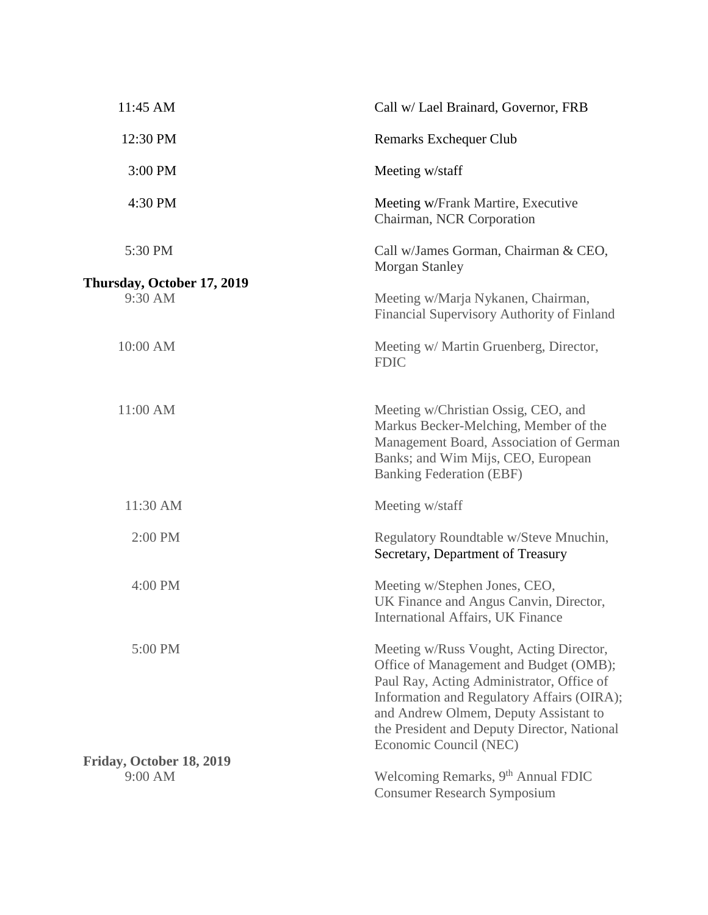| 11:45 AM                              | Call w/ Lael Brainard, Governor, FRB                                                                                                                                                                                                                                                           |
|---------------------------------------|------------------------------------------------------------------------------------------------------------------------------------------------------------------------------------------------------------------------------------------------------------------------------------------------|
| 12:30 PM                              | Remarks Exchequer Club                                                                                                                                                                                                                                                                         |
| 3:00 PM                               | Meeting w/staff                                                                                                                                                                                                                                                                                |
| 4:30 PM                               | Meeting w/Frank Martire, Executive<br>Chairman, NCR Corporation                                                                                                                                                                                                                                |
| 5:30 PM                               | Call w/James Gorman, Chairman & CEO,<br><b>Morgan Stanley</b>                                                                                                                                                                                                                                  |
| Thursday, October 17, 2019<br>9:30 AM | Meeting w/Marja Nykanen, Chairman,<br>Financial Supervisory Authority of Finland                                                                                                                                                                                                               |
| 10:00 AM                              | Meeting w/ Martin Gruenberg, Director,<br><b>FDIC</b>                                                                                                                                                                                                                                          |
| 11:00 AM                              | Meeting w/Christian Ossig, CEO, and<br>Markus Becker-Melching, Member of the<br>Management Board, Association of German<br>Banks; and Wim Mijs, CEO, European<br><b>Banking Federation (EBF)</b>                                                                                               |
| 11:30 AM                              | Meeting w/staff                                                                                                                                                                                                                                                                                |
| 2:00 PM                               | Regulatory Roundtable w/Steve Mnuchin,<br>Secretary, Department of Treasury                                                                                                                                                                                                                    |
| 4:00 PM                               | Meeting w/Stephen Jones, CEO,<br>UK Finance and Angus Canvin, Director,<br><b>International Affairs, UK Finance</b>                                                                                                                                                                            |
| 5:00 PM                               | Meeting w/Russ Vought, Acting Director,<br>Office of Management and Budget (OMB);<br>Paul Ray, Acting Administrator, Office of<br>Information and Regulatory Affairs (OIRA);<br>and Andrew Olmem, Deputy Assistant to<br>the President and Deputy Director, National<br>Economic Council (NEC) |
| Friday, October 18, 2019<br>9:00 AM   | Welcoming Remarks, 9 <sup>th</sup> Annual FDIC                                                                                                                                                                                                                                                 |
|                                       | <b>Consumer Research Symposium</b>                                                                                                                                                                                                                                                             |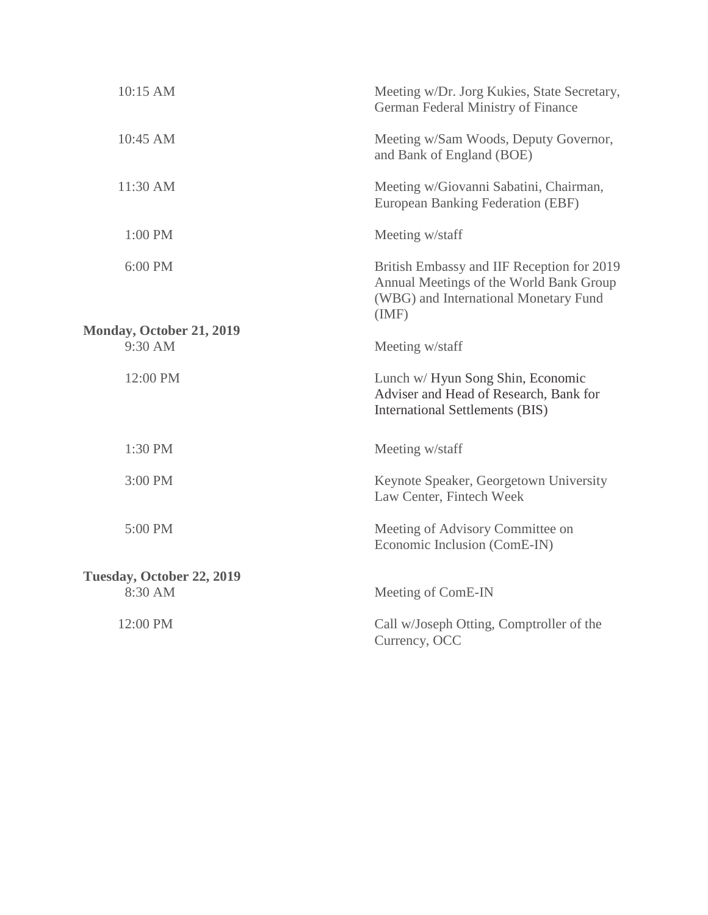| 10:15 AM                                   | Meeting w/Dr. Jorg Kukies, State Secretary,<br>German Federal Ministry of Finance                                                      |
|--------------------------------------------|----------------------------------------------------------------------------------------------------------------------------------------|
| 10:45 AM                                   | Meeting w/Sam Woods, Deputy Governor,<br>and Bank of England (BOE)                                                                     |
| 11:30 AM                                   | Meeting w/Giovanni Sabatini, Chairman,<br>European Banking Federation (EBF)                                                            |
| 1:00 PM                                    | Meeting w/staff                                                                                                                        |
| 6:00 PM                                    | British Embassy and IIF Reception for 2019<br>Annual Meetings of the World Bank Group<br>(WBG) and International Monetary Fund<br>(MF) |
| <b>Monday, October 21, 2019</b><br>9:30 AM |                                                                                                                                        |
|                                            | Meeting w/staff                                                                                                                        |
| 12:00 PM                                   | Lunch w/ Hyun Song Shin, Economic<br>Adviser and Head of Research, Bank for<br>International Settlements (BIS)                         |
| 1:30 PM                                    | Meeting w/staff                                                                                                                        |
| 3:00 PM                                    | Keynote Speaker, Georgetown University<br>Law Center, Fintech Week                                                                     |
| 5:00 PM                                    | Meeting of Advisory Committee on<br>Economic Inclusion (ComE-IN)                                                                       |
| Tuesday, October 22, 2019                  |                                                                                                                                        |
| 8:30 AM                                    | Meeting of ComE-IN                                                                                                                     |
| 12:00 PM                                   | Call w/Joseph Otting, Comptroller of the<br>Currency, OCC                                                                              |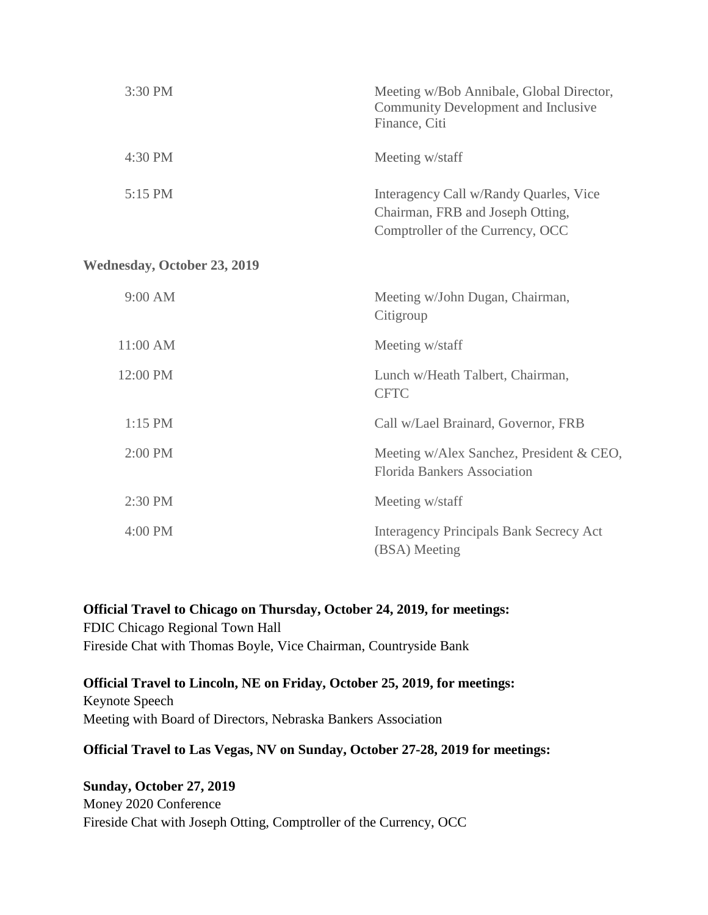| 3:30 PM                            | Meeting w/Bob Annibale, Global Director,<br>Community Development and Inclusive<br>Finance, Citi               |
|------------------------------------|----------------------------------------------------------------------------------------------------------------|
| 4:30 PM                            | Meeting w/staff                                                                                                |
| 5:15 PM                            | Interagency Call w/Randy Quarles, Vice<br>Chairman, FRB and Joseph Otting,<br>Comptroller of the Currency, OCC |
| <b>Wednesday, October 23, 2019</b> |                                                                                                                |
| 9:00 AM                            | Meeting w/John Dugan, Chairman,<br>Citigroup                                                                   |
| 11:00 AM                           | Meeting w/staff                                                                                                |
| 12:00 PM                           | Lunch w/Heath Talbert, Chairman,<br><b>CFTC</b>                                                                |
| $1:15$ PM                          | Call w/Lael Brainard, Governor, FRB                                                                            |
| 2:00 PM                            | Meeting w/Alex Sanchez, President & CEO,<br><b>Florida Bankers Association</b>                                 |
| 2:30 PM                            | Meeting w/staff                                                                                                |
| 4:00 PM                            | <b>Interagency Principals Bank Secrecy Act</b><br>(BSA) Meeting                                                |

#### **Official Travel to Chicago on Thursday, October 24, 2019, for meetings:**

FDIC Chicago Regional Town Hall Fireside Chat with Thomas Boyle, Vice Chairman, Countryside Bank

### **Official Travel to Lincoln, NE on Friday, October 25, 2019, for meetings:**

Keynote Speech Meeting with Board of Directors, Nebraska Bankers Association

#### **Official Travel to Las Vegas, NV on Sunday, October 27-28, 2019 for meetings:**

### **Sunday, October 27, 2019**

Money 2020 Conference Fireside Chat with Joseph Otting, Comptroller of the Currency, OCC